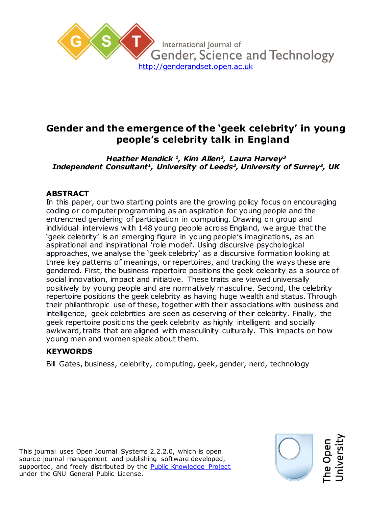

# **Gender and the emergence of the 'geek celebrity' in young people's celebrity talk in England**

*Heather Mendick <sup>1</sup> , Kim Allen<sup>2</sup> , Laura Harvey<sup>3</sup> Independent Consultant<sup>1</sup> , University of Leeds<sup>2</sup> , University of Surrey<sup>3</sup> , UK*

## **ABSTRACT**

In this paper, our two starting points are the growing policy focus on encouraging coding or computer programming as an aspiration for young people and the entrenched gendering of participation in computing. Drawing on group and individual interviews with 148 young people across England, we argue that the 'geek celebrity' is an emerging figure in young people's imaginations, as an aspirational and inspirational 'role model'. Using discursive psychological approaches, we analyse the 'geek celebrity' as a discursive formation looking at three key patterns of meanings, or repertoires, and tracking the ways these are gendered. First, the business repertoire positions the geek celebrity as a source of social innovation, impact and initiative. These traits are viewed universally positively by young people and are normatively masculine. Second, the celebrity repertoire positions the geek celebrity as having huge wealth and status. Through their philanthropic use of these, together with their associations with business and intelligence, geek celebrities are seen as deserving of their celebrity. Finally, the geek repertoire positions the geek celebrity as highly intelligent and socially awkward, traits that are aligned with masculinity culturally. This impacts on how young men and women speak about them.

## **KEYWORDS**

Bill Gates, business, celebrity, computing, geek, gender, nerd, technology

This journal uses Open Journal Systems 2.2.2.0, which is open source journal management and publishing software developed, supported, and freely distributed by the [Public Knowledge Project](http://pkp.sfu.ca/) under the GNU General Public License.

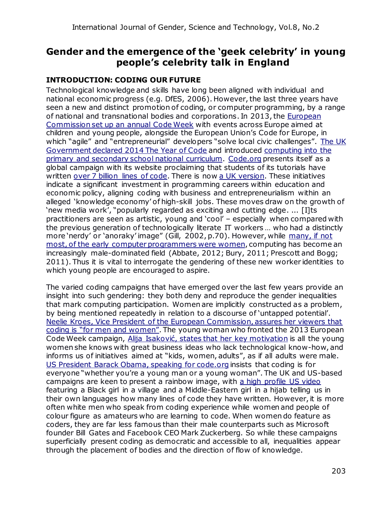## **Gender and the emergence of the 'geek celebrity' in young people's celebrity talk in England**

## **INTRODUCTION: CODING OUR FUTURE**

Technological knowledge and skills have long been aligned with individual and national economic progress (e.g. DfES, 2006). However, the last three years have seen a new and distinct promotion of coding, or computer programming, by a range of national and transnational bodies and corporations. In 2013, the [European](http://codeweek.eu/)  [Commission set up an annual Code Week](http://codeweek.eu/) with events across Europe aimed at children and young people, alongside the European Union's Code for Europe, in which "agile" and "entrepreneurial" developers "solve local civic challenges". The UK [Government declared 2014 The Year of Code](http://yearofcode.org/) and introduced [computing into the](https://www.gov.uk/government/publications/national-curriculum-in-england-computing-programmes-of-study/national-curriculum-in-england-computing-programmes-of-study)  [primary and secondary school national curriculum.](https://www.gov.uk/government/publications/national-curriculum-in-england-computing-programmes-of-study/national-curriculum-in-england-computing-programmes-of-study) Code.org presents itself as a global campaign with its website proclaiming that students of its tutorials have written [over 7](https://code.org/loc) [billion lines of code.](https://code.org/loc) There is now [a UK version.](https://uk.code.org/) These initiatives indicate a significant investment in programming careers within education and economic policy, aligning coding with business and entrepreneurialism within an alleged 'knowledge economy' of high-skill jobs. These moves draw on the growth of 'new media work', "popularly regarded as exciting and cutting edge. ... [I]ts practitioners are seen as artistic, young and 'cool' – especially when compared with the previous generation of technologically literate IT workers … who had a distinctly more 'nerdy' or 'anoraky' image" (Gill, 2002, p.70). However, while many, if not [most, of the early computer programmers were women](http://www.smithsonianmag.com/smart-news/computer-programming-used-to-be-womens-work-718061/?no-ist), computing has become an increasingly male-dominated field (Abbate, 2012; Bury, 2011; Prescott and Bogg; 2011). Thus it is vital to interrogate the gendering of these new worker identities to which young people are encouraged to aspire.

The varied coding campaigns that have emerged over the last few years provide an insight into such gendering: they both deny and reproduce the gender inequalities that mark computing participation. Women are implicitly constructed as a problem, by being mentioned repeatedly in relation to a discourse of 'untapped potential'. [Neelie Kroes, Vice President of the European Commission, assures her viewers that](https://www.youtube.com/watch?v=MfxWn4YHXt4)  [coding is "for men and women"](https://www.youtube.com/watch?v=MfxWn4YHXt4). The young woman who fronted the 2013 European Code Week campaign, [Alija Isaković, states that](https://www.youtube.com/watch?v=tJxBgqaI9lA) [her](https://www.youtube.com/watch?v=tJxBgqaI9lA) [key motivation](https://www.youtube.com/watch?v=tJxBgqaI9lA) is all the young women she knows with great business ideas who lack technological know-how, and informs us of initiatives aimed at "kids, women, adults", as if all adults were male. [US President Barack Obama, speaking for code.org](https://www.youtube.com/watch?v=6XvmhE1J9PY) insists that coding is for everyone "whether you're a young man or a young woman". The UK and US-based campaigns are keen to present a rainbow image, with [a high profile US video](https://www.youtube.com/watch?v=FC5FbmsH4fw) featuring a Black girl in a village and a Middle-Eastern girl in a hijab telling us in their own languages how many lines of code they have written. However, it is more often white men who speak from coding experience while women and people of colour figure as amateurs who are learning to code. When women do feature as coders, they are far less famous than their male counterparts such as Microsoft founder Bill Gates and Facebook CEO Mark Zuckerberg. So while these campaigns superficially present coding as democratic and accessible to all, inequalities appear through the placement of bodies and the direction of flow of knowledge.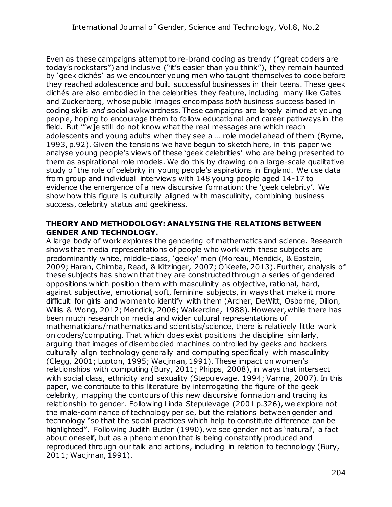Even as these campaigns attempt to re-brand coding as trendy ("great coders are today's rockstars") and inclusive ("it's easier than you think"), they remain haunted by 'geek clichés' as we encounter young men who taught themselves to code before they reached adolescence and built successful businesses in their teens. These geek clichés are also embodied in the celebrities they feature, including many like Gates and Zuckerberg, whose public images encompass *both* business success based in coding skills *and* social awkwardness. These campaigns are largely aimed at young people, hoping to encourage them to follow educational and career pathways in the field. But '"w]e still do not know what the real messages are which reach adolescents and young adults when they see a … role model ahead of them (Byrne, 1993, p.92). Given the tensions we have begun to sketch here, in this paper we analyse young people's views of these 'geek celebrities' who are being presented to them as aspirational role models. We do this by drawing on a large-scale qualitative study of the role of celebrity in young people's aspirations in England. We use data from group and individual interviews with 148 young people aged 14-17 to evidence the emergence of a new discursive formation: the 'geek celebrity'. We show how this figure is culturally aligned with masculinity, combining business success, celebrity status and geekiness.

#### **THEORY AND METHODOLOGY: ANALYSING THE RELATIONS BETWEEN GENDER AND TECHNOLOGY.**

A large body of work explores the gendering of mathematics and science. Research shows that media representations of people who work with these subjects are predominantly white, middle-class, 'geeky' men (Moreau, Mendick, & Epstein, 2009; Haran, Chimba, Read, & Kitzinger, 2007; O'Keefe, 2013). Further, analysis of these subjects has shown that they are constructed through a series of gendered oppositions which position them with masculinity as objective, rational, hard, against subjective, emotional, soft, feminine subjects, in ways that make it more difficult for girls and women to identify with them (Archer, DeWitt, Osborne, Dillon, Willis & Wong, 2012; Mendick, 2006; Walkerdine, 1988). However, while there has been much research on media and wider cultural representations of mathematicians/mathematics and scientists/science, there is relatively little work on coders/computing. That which does exist positions the discipline similarly, arguing that images of disembodied machines controlled by geeks and hackers culturally align technology generally and computing specifically with masculinity (Clegg, 2001; Lupton, 1995; Wacjman, 1991). These impact on women's relationships with computing (Bury, 2011; Phipps, 2008), in ways that intersect with social class, ethnicity and sexuality (Stepulevage, 1994; Varma, 2007). In this paper, we contribute to this literature by interrogating the figure of the geek celebrity, mapping the contours of this new discursive formation and tracing its relationship to gender. Following Linda Stepulevage (2001 p.326), we explore not the male-dominance of technology per se, but the relations between gender and technology "so that the social practices which help to constitute difference can be highlighted". Following Judith Butler (1990), we see gender not as 'natural', a fact about oneself, but as a phenomenon that is being constantly produced and reproduced through our talk and actions, including in relation to technology (Bury, 2011; Wacjman, 1991).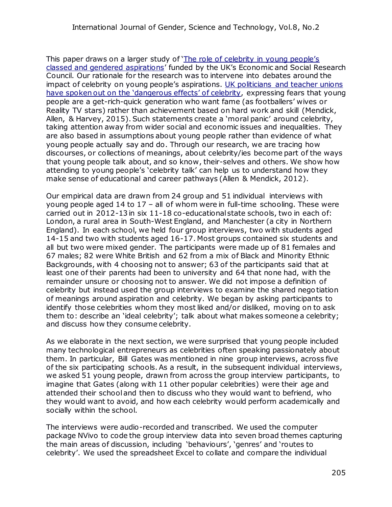This paper draws on a larger study of ['The role of celebrity in young people's](http://celebyouth.org/)  [classed and gendered aspirations](http://celebyouth.org/)' funded by the UK's Economic and Social Research Council. Our rationale for the research was to intervene into debates around the impact of celebrity on young people's aspirations. [UK politicians and teacher unions](http://www.theguardian.com/teacher-network/2012/nov/16/celebrity-culture-students-problems-policy)  [have spoken out on the 'dangerous effects' of celebrity](http://www.theguardian.com/teacher-network/2012/nov/16/celebrity-culture-students-problems-policy), expressing fears that young people are a get-rich-quick generation who want fame (as footballers' wives or Reality TV stars) rather than achievement based on hard work and skill (Mendick, Allen, & Harvey, 2015). Such statements create a 'moral panic' around celebrity, taking attention away from wider social and economic issues and inequalities. They are also based in assumptions about young people rather than evidence of what young people actually say and do. Through our research, we are tracing how discourses, or collections of meanings, about celebrity/ies become part of the ways that young people talk about, and so know, their-selves and others. We show how attending to young people's 'celebrity talk' can help us to understand how they make sense of educational and career pathways (Allen & Mendick, 2012).

Our empirical data are drawn from 24 group and 51 individual interviews with young people aged 14 to 17 – all of whom were in full-time schooling. These were carried out in 2012-13 in six 11-18 co-educational state schools, two in each of: London, a rural area in South-West England, and Manchester (a city in Northern England). In each school, we held four group interviews, two with students aged 14-15 and two with students aged 16-17. Most groups contained six students and all but two were mixed gender. The participants were made up of 81 females and 67 males; 82 were White British and 62 from a mix of Black and Minority Ethnic Backgrounds, with 4 choosing not to answer; 63 of the participants said that at least one of their parents had been to university and 64 that none had, with the remainder unsure or choosing not to answer. We did not impose a definition of celebrity but instead used the group interviews to examine the shared negotiation of meanings around aspiration and celebrity. We began by asking participants to identify those celebrities whom they most liked and/or disliked, moving on to ask them to: describe an 'ideal celebrity'; talk about what makes someone a celebrity; and discuss how they consume celebrity.

As we elaborate in the next section, we were surprised that young people included many technological entrepreneurs as celebrities often speaking passionately about them. In particular, Bill Gates was mentioned in nine group interviews, across five of the six participating schools. As a result, in the subsequent individual interviews, we asked 51 young people, drawn from across the group interview participants, to imagine that Gates (along with 11 other popular celebrities) were their age and attended their school and then to discuss who they would want to befriend, who they would want to avoid, and how each celebrity would perform academically and socially within the school.

The interviews were audio-recorded and transcribed. We used the computer package NVivo to code the group interview data into seven broad themes capturing the main areas of discussion, including 'behaviours', 'genres' and 'routes to celebrity'. We used the spreadsheet Excel to collate and compare the individual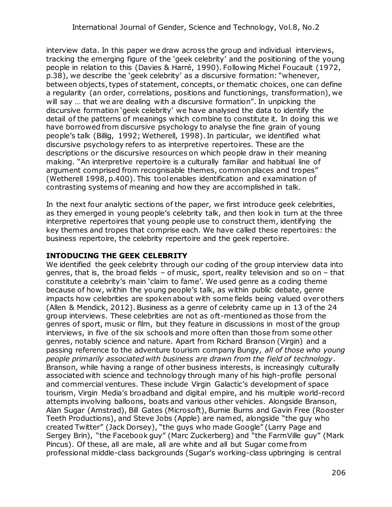interview data. In this paper we draw across the group and individual interviews, tracking the emerging figure of the 'geek celebrity' and the positioning of the young people in relation to this (Davies & Harré, 1990). Following Michel Foucault (1972, p.38), we describe the 'geek celebrity' as a discursive formation: "whenever, between objects, types of statement, concepts, or thematic choices, one can define a regularity (an order, correlations, positions and functionings, transformation), we will say … that we are dealing with a discursive formation". In unpicking the discursive formation 'geek celebrity' we have analysed the data to identify the detail of the patterns of meanings which combine to constitute it. In doing this we have borrowed from discursive psychology to analyse the fine grain of young people's talk (Billig, 1992; Wetherell, 1998). In particular, we identified what discursive psychology refers to as interpretive repertoires. These are the descriptions or the discursive resources on which people draw in their meaning making. "An interpretive repertoire is a culturally familiar and habitual line of argument comprised from recognisable themes, common places and tropes" (Wetherell 1998, p.400). This tool enables identification and examination of contrasting systems of meaning and how they are accomplished in talk.

In the next four analytic sections of the paper, we first introduce geek celebrities, as they emerged in young people's celebrity talk, and then look in turn at the three interpretive repertoires that young people use to construct them, identifying the key themes and tropes that comprise each. We have called these repertoires: the business repertoire, the celebrity repertoire and the geek repertoire.

#### **INTODUCING THE GEEK CELEBRITY**

We identified the geek celebrity through our coding of the group interview data into genres, that is, the broad fields – of music, sport, reality television and so on – that constitute a celebrity's main 'claim to fame'. We used genre as a coding theme because of how, within the young people's talk, as within public debate, genre impacts how celebrities are spoken about with some fields being valued over others (Allen & Mendick, 2012). Business as a genre of celebrity came up in 13 of the 24 group interviews. These celebrities are not as oft-mentioned as those from the genres of sport, music or film, but they feature in discussions in most of the group interviews, in five of the six schools and more often than those from some other genres, notably science and nature. Apart from Richard Branson (Virgin) and a passing reference to the adventure tourism company Bungy, *all of those who young people primarily associated with business are drawn from the field of technology*. Branson, while having a range of other business interests, is increasingly culturally associated with science and technology through many of his high-profile personal and commercial ventures. These include Virgin Galactic's development of space tourism, Virgin Media's broadband and digital empire, and his multiple world-record attempts involving balloons, boats and various other vehicles. Alongside Branson, Alan Sugar (Amstrad), Bill Gates (Microsoft), Burnie Burns and Gavin Free (Rooster Teeth Productions), and Steve Jobs (Apple) are named, alongside "the guy who created Twitter" (Jack Dorsey), "the guys who made Google" (Larry Page and Sergey Brin), "the Facebook guy" (Marc Zuckerberg) and "the FarmVille guy" (Mark Pincus). Of these, all are male, all are white and all but Sugar come from professional middle-class backgrounds (Sugar's working-class upbringing is central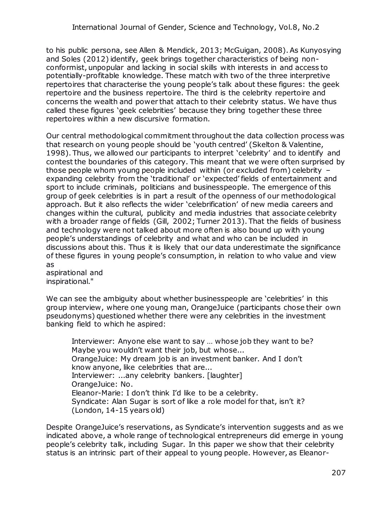to his public persona, see Allen & Mendick, 2013; McGuigan, 2008). As Kunyosying and Soles (2012) identify, geek brings together characteristics of being nonconformist, unpopular and lacking in social skills with interests in and access to potentially-profitable knowledge. These match with two of the three interpretive repertoires that characterise the young people's talk about these figures: the geek repertoire and the business repertoire. The third is the celebrity repertoire and concerns the wealth and power that attach to their celebrity status. We have thus called these figures 'geek celebrities' because they bring together these three repertoires within a new discursive formation.

Our central methodological commitment throughout the data collection process was that research on young people should be 'youth centred' (Skelton & Valentine, 1998). Thus, we allowed our participants to interpret 'celebrity' and to identify and contest the boundaries of this category. This meant that we were often surprised by those people whom young people included within (or excluded from) celebrity – expanding celebrity from the 'traditional' or 'expected' fields of entertainment and sport to include criminals, politicians and businesspeople. The emergence of this group of geek celebrities is in part a result of the openness of our methodological approach. But it also reflects the wider 'celebrification' of new media careers and changes within the cultural, publicity and media industries that associate celebrity with a broader range of fields (Gill, 2002; Turner 2013). That the fields of business and technology were not talked about more often is also bound up with young people's understandings of celebrity and what and who can be included in discussions about this. Thus it is likely that our data underestimate the significance of these figures in young people's consumption, in relation to who value and view as

aspirational and inspirational."

We can see the ambiguity about whether businesspeople are 'celebrities' in this group interview, where one young man, OrangeJuice (participants chose their own pseudonyms) questioned whether there were any celebrities in the investment banking field to which he aspired:

Interviewer: Anyone else want to say … whose job they want to be? Maybe you wouldn't want their job, but whose... OrangeJuice: My dream job is an investment banker. And I don't know anyone, like celebrities that are... Interviewer: ...any celebrity bankers. [laughter] OrangeJuice: No. Eleanor-Marie: I don't think I'd like to be a celebrity. Syndicate: Alan Sugar is sort of like a role model for that, isn't it? (London, 14-15 years old)

Despite OrangeJuice's reservations, as Syndicate's intervention suggests and as we indicated above, a whole range of technological entrepreneurs did emerge in young people's celebrity talk, including Sugar. In this paper we show that their celebrity status is an intrinsic part of their appeal to young people. However, as Eleanor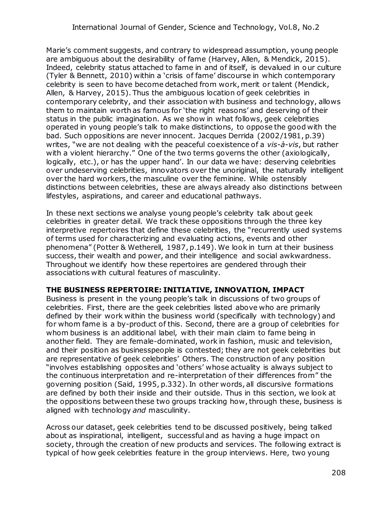Marie's comment suggests, and contrary to widespread assumption, young people are ambiguous about the desirability of fame (Harvey, Allen, & Mendick, 2015). Indeed, celebrity status attached to fame in and of itself, is devalued in our culture (Tyler & Bennett, 2010) within a 'crisis of fame' discourse in which contemporary celebrity is seen to have become detached from work, merit or talent (Mendick, Allen, & Harvey, 2015). Thus the ambiguous location of geek celebrities in contemporary celebrity, and their association with business and technology, allows them to maintain worth as famous for 'the right reasons' and deserving of their status in the public imagination. As we show in what follows, geek celebrities operated in young people's talk to make distinctions, to oppose the good with the bad. Such oppositions are never innocent. Jacques Derrida (2002/1981, p.39) writes, "we are not dealing with the peaceful coexistence of a *vis-à-vis*, but rather with a violent hierarchy." One of the two terms governs the other (axiologically, logically, etc.), or has the upper hand'. In our data we have: deserving celebrities over undeserving celebrities, innovators over the unoriginal, the naturally intelligent over the hard workers, the masculine over the feminine. While ostensibly distinctions between celebrities, these are always already also distinctions between lifestyles, aspirations, and career and educational pathways.

In these next sections we analyse young people's celebrity talk about geek celebrities in greater detail. We track these oppositions through the three key interpretive repertoires that define these celebrities, the "recurrently used systems of terms used for characterizing and evaluating actions, events and other phenomena" (Potter & Wetherell, 1987, p.149). We look in turn at their business success, their wealth and power, and their intelligence and social awkwardness. Throughout we identify how these repertoires are gendered through their associations with cultural features of masculinity.

#### **THE BUSINESS REPERTOIRE: INITIATIVE, INNOVATION, IMPACT**

Business is present in the young people's talk in discussions of two groups of celebrities. First, there are the geek celebrities listed above who are primarily defined by their work within the business world (specifically with technology) and for whom fame is a by-product of this. Second, there are a group of celebrities for whom business is an additional label, with their main claim to fame being in another field. They are female-dominated, work in fashion, music and television, and their position as businesspeople is contested; they are not geek celebrities but are representative of geek celebrities' Others. The construction of any position "involves establishing opposites and 'others' whose actuality is always subject to the continuous interpretation and re-interpretation of their differences from" the governing position (Said, 1995, p.332). In other words, all discursive formations are defined by both their inside and their outside. Thus in this section, we look at the oppositions between these two groups tracking how, through these, business is aligned with technology *and* masculinity.

Across our dataset, geek celebrities tend to be discussed positively, being talked about as inspirational, intelligent, successful and as having a huge impact on society, through the creation of new products and services. The following extract is typical of how geek celebrities feature in the group interviews. Here, two young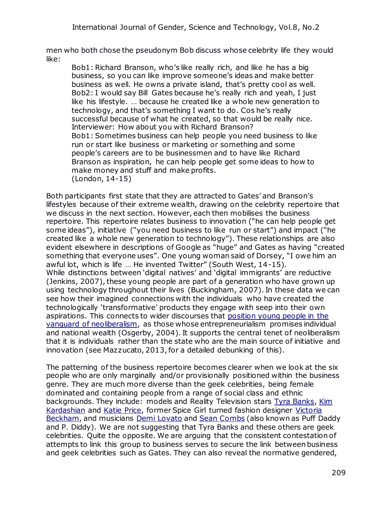men who both chose the pseudonym Bob discuss whose celebrity life they would like:

Bob1: Richard Branson, who's like really rich, and like he has a big business, so you can like improve someone's ideas and make better business as well. He owns a private island, that's pretty cool as well. Bob2: I would say Bill Gates because he's really rich and yeah, I just like his lifestyle. … because he created like a whole new generation to technology, and that's something I want to do. Cos he's really successful because of what he created, so that would be really nice. Interviewer: How about you with Richard Branson? Bob1: Sometimes business can help people you need business to like run or start like business or marketing or something and some people's careers are to be businessmen and to have like Richard Branson as inspiration, he can help people get some ideas to how to make money and stuff and make profits. (London, 14-15)

Both participants first state that they are attracted to Gates' and Branson's lifestyles because of their extreme wealth, drawing on the celebrity repertoire that we discuss in the next section. However, each then mobilises the business repertoire. This repertoire relates business to innovation ("he can help people get some ideas"), initiative ("you need business to like run or start") and impact ("he created like a whole new generation to technology"). These relationships are also evident elsewhere in descriptions of Google as "huge" and Gates as having "created something that everyone uses". One young woman said of Dorsey, "I owe him an awful lot, which is life … He invented Twitter" (South West, 14-15). While distinctions between 'digital natives' and 'digital immigrants' are reductive (Jenkins, 2007), these young people are part of a generation who have grown up using technology throughout their lives (Buckingham, 2007). In these data we can see how their imagined connections with the individuals who have created the technologically 'transformative' products they engage with seep into their own aspirations. This connects to wider discourses that position young people in the vanguard of neoliberalism, as those whose entrepreneurialism promises individual and national wealth (Osgerby, 2004). It supports the central tenet of neoliberalism that it is individuals rather than the state who are the main source of initiative and innovation (see Mazzucato, 2013, for a detailed debunking of this).

The patterning of the business repertoire becomes clearer when we look at the six people who are only marginally and/or provisionally positioned within the business genre. They are much more diverse than the geek celebrities, being female dominated and containing people from a range of social class and ethnic backgrounds. They include: models and Reality Television stars [Tyra Banks,](https://en.wikipedia.org/wiki/Tyra_Banks) [Kim](https://en.wikipedia.org/wiki/Kim_Kardashian)  [Kardashian](https://en.wikipedia.org/wiki/Kim_Kardashian) and [Katie Price,](https://en.wikipedia.org/wiki/Katie_Price) former Spice Girl turned fashion designer [Victoria](https://en.wikipedia.org/wiki/Victoria_Beckham)  [Beckham,](https://en.wikipedia.org/wiki/Victoria_Beckham) and musicians [Demi Lovato](https://en.wikipedia.org/wiki/Demi_Lovato) and [Sean Combs](https://en.wikipedia.org/wiki/Sean_Combs) (also known as Puff Daddy and P. Diddy). We are not suggesting that Tyra Banks and these others are geek celebrities. Quite the opposite. We are arguing that the consistent contestation of attempts to link this group to business serves to secure the link between business and geek celebrities such as Gates. They can also reveal the normative gendered,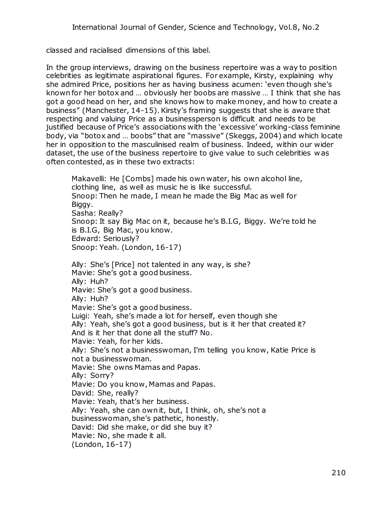classed and racialised dimensions of this label.

In the group interviews, drawing on the business repertoire was a way to position celebrities as legitimate aspirational figures. For example, Kirsty, explaining why she admired Price, positions her as having business acumen: 'even though she's known for her botox and … obviously her boobs are massive … I think that she has got a good head on her, and she knows how to make money, and how to create a business" (Manchester, 14-15). Kirsty's framing suggests that she is aware that respecting and valuing Price as a businessperson is difficult and needs to be justified because of Price's associations with the 'excessive' working-class feminine body, via "botox and … boobs" that are "massive" (Skeggs, 2004) and which locate her in opposition to the masculinised realm of business. Indeed, within our wider dataset, the use of the business repertoire to give value to such celebrities was often contested, as in these two extracts:

Makavelli: He [Combs] made his own water, his own alcohol line, clothing line, as well as music he is like successful. Snoop: Then he made, I mean he made the Big Mac as well for Biggy. Sasha: Really? Snoop: It say Big Mac on it, because he's B.I.G, Biggy. We're told he is B.I.G, Big Mac, you know. Edward: Seriously? Snoop: Yeah. (London, 16-17)

Ally: She's [Price] not talented in any way, is she? Mavie: She's got a good business. Ally: Huh? Mavie: She's got a good business. Ally: Huh? Mavie: She's got a good business. Luigi: Yeah, she's made a lot for herself, even though she Ally: Yeah, she's got a good business, but is it her that created it? And is it her that done all the stuff? No. Mavie: Yeah, for her kids. Ally: She's not a businesswoman, I'm telling you know, Katie Price is not a businesswoman. Mavie: She owns Mamas and Papas. Ally: Sorry? Mavie: Do you know, Mamas and Papas. David: She, really? Mavie: Yeah, that's her business. Ally: Yeah, she can own it, but, I think, oh, she's not a businesswoman, she's pathetic, honestly. David: Did she make, or did she buy it? Mavie: No, she made it all. (London, 16-17)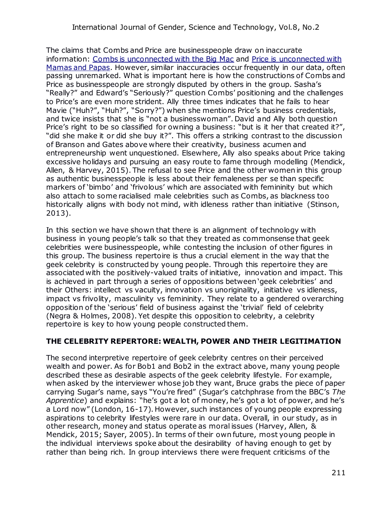The claims that Combs and Price are businesspeople draw on inaccurate information: [Combs is unconnected with the Big Mac](http://www.chacha.com/question/did-p-diddy-really-make-up-the-big-mac-at-mcdonalds) and [Price is unconnected with](http://www.mamasandpapas.com/about_us/)  [Mamas and Papas.](http://www.mamasandpapas.com/about_us/) However, similar inaccuracies occur frequently in our data, often passing unremarked. What is important here is how the constructions of Combs and Price as businesspeople are strongly disputed by others in the group. Sasha's "Really?" and Edward's "Seriously?" question Combs' positioning and the challenges to Price's are even more strident. Ally three times indicates that he fails to hear Mavie ("Huh?", "Huh?", "Sorry?") when she mentions Price's business credentials, and twice insists that she is "not a businesswoman". David and Ally both question Price's right to be so classified for owning a business: "but is it her that created it?", "did she make it or did she buy it?". This offers a striking contrast to the discussion of Branson and Gates above where their creativity, business acumen and entrepreneurship went unquestioned. Elsewhere, Ally also speaks about Price taking excessive holidays and pursuing an easy route to fame through modelling (Mendick, Allen, & Harvey, 2015). The refusal to see Price and the other women in this group as authentic businesspeople is less about their femaleness per se than specific markers of 'bimbo' and 'frivolous' which are associated with femininity but which also attach to some racialised male celebrities such as Combs, as blackness too historically aligns with body not mind, with idleness rather than initiative (Stinson, 2013).

In this section we have shown that there is an alignment of technology with business in young people's talk so that they treated as commonsense that geek celebrities were businesspeople, while contesting the inclusion of other figures in this group. The business repertoire is thus a crucial element in the way that the geek celebrity is constructed by young people. Through this repertoire they are associated with the positively-valued traits of initiative, innovation and impact. This is achieved in part through a series of oppositions between 'geek celebrities' and their Others: intellect vs vacuity, innovation vs unoriginality, initiative vs idleness, impact vs frivolity, masculinity vs femininity. They relate to a gendered overarching opposition of the 'serious' field of business against the 'trivial' field of celebrity (Negra & Holmes, 2008). Yet despite this opposition to celebrity, a celebrity repertoire is key to how young people constructed them.

## **THE CELEBRITY REPERTORE: WEALTH, POWER AND THEIR LEGITIMATION**

The second interpretive repertoire of geek celebrity centres on their perceived wealth and power. As for Bob1 and Bob2 in the extract above, many young people described these as desirable aspects of the geek celebrity lifestyle. For example, when asked by the interviewer whose job they want, Bruce grabs the piece of paper carrying Sugar's name, says "You're fired" (Sugar's catchphrase from the BBC's *The Apprentice*) and explains: "he's got a lot of money, he's got a lot of power, and he's a Lord now" (London, 16-17). However, such instances of young people expressing aspirations to celebrity lifestyles were rare in our data. Overall, in our study, as in other research, money and status operate as moral issues (Harvey, Allen, & Mendick, 2015; Sayer, 2005). In terms of their own future, most young people in the individual interviews spoke about the desirability of having enough to get by rather than being rich. In group interviews there were frequent criticisms of the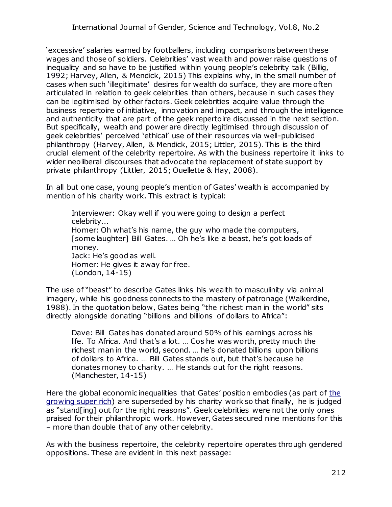'excessive' salaries earned by footballers, including comparisons between these wages and those of soldiers. Celebrities' vast wealth and power raise questions of inequality and so have to be justified within young people's celebrity talk (Billig, 1992; Harvey, Allen, & Mendick, 2015) This explains why, in the small number of cases when such 'illegitimate' desires for wealth do surface, they are more often articulated in relation to geek celebrities than others, because in such cases they can be legitimised by other factors. Geek celebrities acquire value through the business repertoire of initiative, innovation and impact, and through the intelligence and authenticity that are part of the geek repertoire discussed in the next section. But specifically, wealth and power are directly legitimised through discussion of geek celebrities' perceived 'ethical' use of their resources via well-publicised philanthropy (Harvey, Allen, & Mendick, 2015; Littler, 2015). This is the third crucial element of the celebrity repertoire. As with the business repertoire it links to wider neoliberal discourses that advocate the replacement of state support by private philanthropy (Littler, 2015; Ouellette & Hay, 2008).

In all but one case, young people's mention of Gates' wealth is accompanied by mention of his charity work. This extract is typical:

Interviewer: Okay well if you were going to design a perfect celebrity... Homer: Oh what's his name, the guy who made the computers, [some laughter] Bill Gates. … Oh he's like a beast, he's got loads of money. Jack: He's good as well. Homer: He gives it away for free. (London, 14-15)

The use of "beast" to describe Gates links his wealth to masculinity via animal imagery, while his goodness connects to the mastery of patronage (Walkerdine, 1988). In the quotation below, Gates being "the richest man in the world" sits directly alongside donating "billions and billions of dollars to Africa":

Dave: Bill Gates has donated around 50% of his earnings across his life. To Africa. And that's a lot. … Cos he was worth, pretty much the richest man in the world, second. … he's donated billions upon billions of dollars to Africa. … Bill Gates stands out, but that's because he donates money to charity. … He stands out for the right reasons. (Manchester, 14-15)

Here the global economic inequalities that Gates' position embodies (as part of [the](http://www.theguardian.com/society/2014/sep/15/how-super-rich-got-richer-10-shocking-facts-inequality)  [growing super rich\)](http://www.theguardian.com/society/2014/sep/15/how-super-rich-got-richer-10-shocking-facts-inequality) are superseded by his charity work so that finally, he is judged as "stand[ing] out for the right reasons". Geek celebrities were not the only ones praised for their philanthropic work. However, Gates secured nine mentions for this – more than double that of any other celebrity.

As with the business repertoire, the celebrity repertoire operates through gendered oppositions. These are evident in this next passage: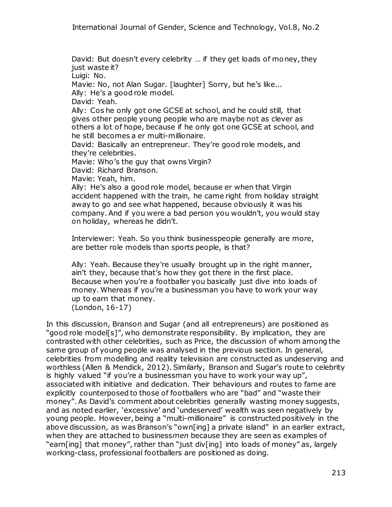David: But doesn't every celebrity … if they get loads of money, they just waste it?

Luigi: No.

Mavie: No, not Alan Sugar. [laughter] Sorry, but he's like...

Ally: He's a good role model.

David: Yeah.

Ally: Cos he only got one GCSE at school, and he could still, that gives other people young people who are maybe not as clever as others a lot of hope, because if he only got one GCSE at school, and he still becomes a er multi-millionaire.

David: Basically an entrepreneur. They're good role models, and they're celebrities.

Mavie: Who's the guy that owns Virgin?

David: Richard Branson.

Mavie: Yeah, him.

Ally: He's also a good role model, because er when that Virgin accident happened with the train, he came right from holiday straight away to go and see what happened, because obviously it was his company. And if you were a bad person you wouldn't, you would stay on holiday, whereas he didn't.

Interviewer: Yeah. So you think businesspeople generally are more, are better role models than sports people, is that?

Ally: Yeah. Because they're usually brought up in the right manner, ain't they, because that's how they got there in the first place. Because when you're a footballer you basically just dive into loads of money. Whereas if you're a businessman you have to work your way up to earn that money. (London, 16-17)

In this discussion, Branson and Sugar (and all entrepreneurs) are positioned as "good role model[s]", who demonstrate responsibility. By implication, they are contrasted with other celebrities, such as Price, the discussion of whom among the same group of young people was analysed in the previous section. In general, celebrities from modelling and reality television are constructed as undeserving and worthless (Allen & Mendick, 2012). Similarly, Branson and Sugar's route to celebrity is highly valued "if you're a businessman you have to work your way up", associated with initiative and dedication. Their behaviours and routes to fame are explicitly counterposed to those of footballers who are "bad" and "waste their money". As David's comment about celebrities generally wasting money suggests, and as noted earlier, 'excessive' and 'undeserved' wealth was seen negatively by young people. However, being a "multi-millionaire" is constructed positively in the above discussion, as was Branson's "own[ing] a private island" in an earlier extract, when they are attached to business*men* because they are seen as examples of "earn[ing] that money", rather than "just div[ing] into loads of money" as, largely working-class, professional footballers are positioned as doing.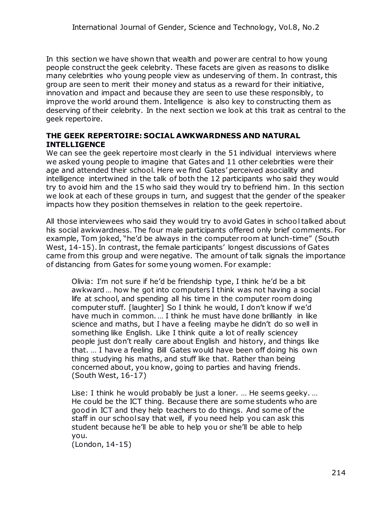In this section we have shown that wealth and power are central to how young people construct the geek celebrity. These facets are given as reasons to dislike many celebrities who young people view as undeserving of them. In contrast, this group are seen to merit their money and status as a reward for their initiative, innovation and impact and because they are seen to use these responsibly, to improve the world around them. Intelligence is also key to constructing them as deserving of their celebrity. In the next section we look at this trait as central to the geek repertoire.

#### **THE GEEK REPERTOIRE: SOCIAL AWKWARDNESS AND NATURAL INTELLIGENCE**

We can see the geek repertoire most clearly in the 51 individual interviews where we asked young people to imagine that Gates and 11 other celebrities were their age and attended their school. Here we find Gates' perceived asociality and intelligence intertwined in the talk of both the 12 participants who said they would try to avoid him and the 15 who said they would try to befriend him. In this section we look at each of these groups in turn, and suggest that the gender of the speaker impacts how they position themselves in relation to the geek repertoire.

All those interviewees who said they would try to avoid Gates in school talked about his social awkwardness. The four male participants offered only brief comments. For example, Tom joked, "he'd be always in the computer room at lunch-time" (South West, 14-15). In contrast, the female participants' longest discussions of Gates came from this group and were negative. The amount of talk signals the importance of distancing from Gates for some young women. For example:

Olivia: I'm not sure if he'd be friendship type, I think he'd be a bit awkward … how he got into computers I think was not having a social life at school, and spending all his time in the computer room doing computer stuff. [laughter] So I think he would, I don't know if we'd have much in common. … I think he must have done brilliantly in like science and maths, but I have a feeling maybe he didn't do so well in something like English. Like I think quite a lot of really sciencey people just don't really care about English and history, and things like that. … I have a feeling Bill Gates would have been off doing his own thing studying his maths, and stuff like that. Rather than being concerned about, you know, going to parties and having friends. (South West, 16-17)

Lise: I think he would probably be just a loner. … He seems geeky. … He could be the ICT thing. Because there are some students who are good in ICT and they help teachers to do things. And some of the staff in our school say that well, if you need help you can ask this student because he'll be able to help you or she'll be able to help you.

(London, 14-15)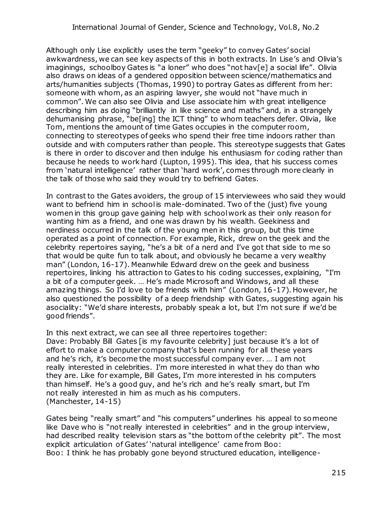Although only Lise explicitly uses the term "geeky" to convey Gates' social awkwardness, we can see key aspects of this in both extracts. In Lise's and Olivia's imaginings, schoolboy Gates is "a loner" who does "not hav[e] a social life". Olivia also draws on ideas of a gendered opposition between science/mathematics and arts/humanities subjects (Thomas, 1990) to portray Gates as different from her: someone with whom, as an aspiring lawyer, she would not "have much in common". We can also see Olivia and Lise associate him with great intelligence describing him as doing "brilliantly in like science and maths" and, in a strangely dehumanising phrase, "be[ing] the ICT thing" to whom teachers defer. Olivia, like Tom, mentions the amount of time Gates occupies in the computer room, connecting to stereotypes of geeks who spend their free time indoors rather than outside and with computers rather than people. This stereotype suggests that Gates is there in order to discover and then indulge his enthusiasm for coding rather than because he needs to work hard (Lupton, 1995). This idea, that his success comes from 'natural intelligence' rather than 'hard work', comes through more clearly in the talk of those who said they would try to befriend Gates.

In contrast to the Gates avoiders, the group of 15 interviewees who said they would want to befriend him in school is male-dominated. Two of the (just) five young women in this group gave gaining help with school work as their only reason for wanting him as a friend, and one was drawn by his wealth. Geekiness and nerdiness occurred in the talk of the young men in this group, but this time operated as a point of connection. For example, Rick, drew on the geek and the celebrity repertoires saying, "he's a bit of a nerd and I've got that side to me so that would be quite fun to talk about, and obviously he became a very wealthy man" (London, 16-17). Meanwhile Edward drew on the geek and business repertoires, linking his attraction to Gates to his coding successes, explaining, "I'm a bit of a computer geek. … He's made Microsoft and Windows, and all these amazing things. So I'd love to be friends with him" (London, 16-17). However, he also questioned the possibility of a deep friendship with Gates, suggesting again his asociality: "We'd share interests, probably speak a lot, but I'm not sure if we'd be good friends".

In this next extract, we can see all three repertoires together: Dave: Probably Bill Gates [is my favourite celebrity] just because it's a lot of effort to make a computer company that's been running for all these years and he's rich, it's become the most successful company ever. … I am not really interested in celebrities. I'm more interested in what they do than who they are. Like for example, Bill Gates, I'm more interested in his computers than himself. He's a good guy, and he's rich and he's really smart, but I'm not really interested in him as much as his computers. (Manchester, 14-15)

Gates being "really smart" and "his computers" underlines his appeal to someone like Dave who is "not really interested in celebrities" and in the group interview, had described reality television stars as "the bottom of the celebrity pit". The most explicit articulation of Gates' 'natural intelligence' came from Boo: Boo: I think he has probably gone beyond structured education, intelligence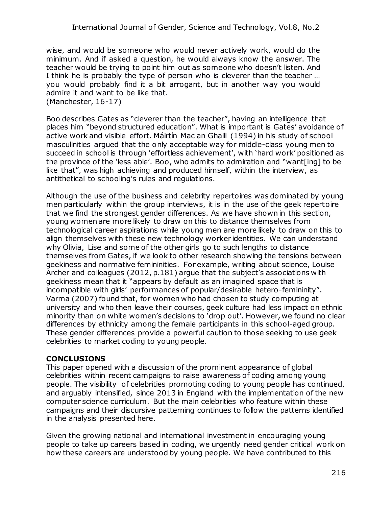wise, and would be someone who would never actively work, would do the minimum. And if asked a question, he would always know the answer. The teacher would be trying to point him out as someone who doesn't listen. And I think he is probably the type of person who is cleverer than the teacher … you would probably find it a bit arrogant, but in another way you would admire it and want to be like that. (Manchester, 16-17)

Boo describes Gates as "cleverer than the teacher", having an intelligence that places him "beyond structured education". What is important is Gates' avoidance of active work and visible effort. Máirtín Mac an Ghaill (1994) in his study of school masculinities argued that the only acceptable way for middle-class young men to succeed in school is through 'effortless achievement', with 'hard work' positioned as the province of the 'less able'. Boo, who admits to admiration and "want[ing] to be like that", was high achieving and produced himself, within the interview, as antithetical to schooling's rules and regulations.

Although the use of the business and celebrity repertoires was dominated by young men particularly within the group interviews, it is in the use of the geek repertoire that we find the strongest gender differences. As we have shown in this section, young women are more likely to draw on this to distance themselves from technological career aspirations while young men are more likely to draw on this to align themselves with these new technology worker identities. We can understand why Olivia, Lise and some of the other girls go to such lengths to distance themselves from Gates, if we look to other research showing the tensions between geekiness and normative femininities. For example, writing about science, Louise Archer and colleagues (2012, p.181) argue that the subject's associations with geekiness mean that it "appears by default as an imagined space that is incompatible with girls' performances of popular/desirable hetero-femininity". Varma (2007) found that, for women who had chosen to study computing at university and who then leave their courses, geek culture had less impact on ethnic minority than on white women's decisions to 'drop out'. However, we found no clear differences by ethnicity among the female participants in this school-aged group. These gender differences provide a powerful caution to those seeking to use geek celebrities to market coding to young people.

## **CONCLUSIONS**

This paper opened with a discussion of the prominent appearance of global celebrities within recent campaigns to raise awareness of coding among young people. The visibility of celebrities promoting coding to young people has continued, and arguably intensified, since 2013 in England with the implementation of the new computer science curriculum. But the main celebrities who feature within these campaigns and their discursive patterning continues to follow the patterns identified in the analysis presented here.

Given the growing national and international investment in encouraging young people to take up careers based in coding, we urgently need gender critical work on how these careers are understood by young people. We have contributed to this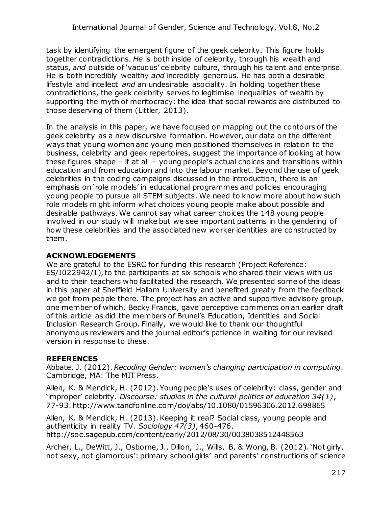task by identifying the emergent figure of the geek celebrity. This figure holds together contradictions. *He* is both inside of celebrity, through his wealth and status, *and* outside of 'vacuous' celebrity culture, through his talent and enterprise. He is both incredibly wealthy *and* incredibly generous. He has both a desirable lifestyle and intellect *and* an undesirable asociality. In holding together these contradictions, the geek celebrity serves to legitimise inequalities of wealth by supporting the myth of meritocracy: the idea that social rewards are distributed to those deserving of them (Littler, 2013).

In the analysis in this paper, we have focused on mapping out the contours of the geek celebrity as a new discursive formation. However, our data on the different ways that young women and young men positioned themselves in relation to the business, celebrity and geek repertoires, suggest the importance of looking at how these figures shape – if at all – young people's actual choices and transitions within education and from education and into the labour market. Beyond the use of geek celebrities in the coding campaigns discussed in the introduction, there is an emphasis on 'role models' in educational programmes and policies encouraging young people to pursue all STEM subjects. We need to know more about how such role models might inform what choices young people make about possible and desirable pathways. We cannot say what career choices the 148 young people involved in our study will make but we see important patterns in the gendering of how these celebrities and the associated new worker identities are constructed by them.

#### **ACKNOWLEDGEMENTS**

We are grateful to the ESRC for funding this research (Project Reference: ES/J022942/1), to the participants at six schools who shared their views with us and to their teachers who facilitated the research. We presented some of the ideas in this paper at Sheffield Hallam University and benefited greatly from the feedback we got from people there. The project has an active and supportive advisory group, one member of which, Becky Francis, gave perceptive comments on an earlier draft of this article as did the members of Brunel's Education, Identities and Social Inclusion Research Group. Finally, we would like to thank our thoughtful anonymous reviewers and the journal editor's patience in waiting for our revised version in response to these.

## **REFERENCES**

Abbate, J. (2012). *Recoding Gender: women's changing participation in computing*. Cambridge, MA: The MIT Press.

Allen, K. & Mendick, H. (2012). Young people's uses of celebrity: class, gender and 'improper' celebrity. *Discourse: studies in the cultural politics of education 34(1)*, 77-93. http://www.tandfonline.com/doi/abs/10.1080/01596306.2012.698865

Allen, K. & Mendick, H. (2013). Keeping it real? Social class, young people and authenticity in reality TV. *Sociology 47(3)*, 460-476. http://soc.sagepub.com/content/early/2012/08/30/0038038512448563

Archer, L., DeWitt, J., Osborne, J., Dillon, J., Wills, B. & Wong, B. (2012). 'Not girly, not sexy, not glamorous': primary school girls' and parents' constructions of science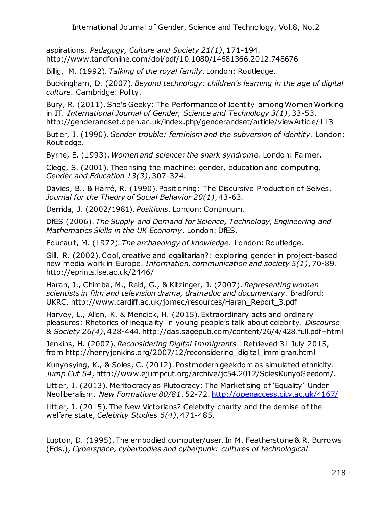aspirations. *Pedagogy, Culture and Society 21(1)*, 171-194. http://www.tandfonline.com/doi/pdf/10.1080/14681366.2012.748676

Billig, M. (1992). *Talking of the royal family*. London: Routledge.

Buckingham, D. (2007). *Beyond technology: children's learning in the age of digital culture*. Cambridge: Polity.

Bury, R. (2011). She's Geeky: The Performance of Identity among Women Working in IT. *International Journal of Gender, Science and Technology 3(1)*, 33-53. http://genderandset.open.ac.uk/index.php/genderandset/article/viewArticle/113

Butler, J. (1990). *Gender trouble: feminism and the subversion of identity*. London: Routledge.

Byrne, E. (1993). *Women and science: the snark syndrome*. London: Falmer.

Clegg, S. (2001). Theorising the machine: gender, education and computing. *Gender and Education 13(3)*, 307-324.

Davies, B., & Harré, R. (1990). Positioning: The Discursive Production of Selves. *Journal for the Theory of Social Behavior 20(1)*, 43-63.

Derrida, J. (2002/1981). *Positions*. London: Continuum.

DfES (2006). *The Supply and Demand for Science, Technology, Engineering and Mathematics Skills in the UK Economy*. London: DfES.

Foucault, M. (1972). *The archaeology of knowledge*. London: Routledge.

Gill, R. (2002). Cool, creative and egalitarian?: exploring gender in project-based new media work in Europe. *Information, communication and society 5(1)*, 70-89. http://eprints.lse.ac.uk/2446/

Haran, J., Chimba, M., Reid, G., & Kitzinger, J. (2007). *Representing women scientists in film and television drama, dramadoc and documentary*. Bradford: UKRC. http://www.cardiff.ac.uk/jomec/resources/Haran\_Report\_3.pdf

Harvey, L., Allen, K. & Mendick, H. (2015). Extraordinary acts and ordinary pleasures: Rhetorics of inequality in young people's talk about celebrity. *Discourse & Society 26(4)*, 428-444. http://das.sagepub.com/content/26/4/428.full.pdf+html

Jenkins, H. (2007). *Reconsidering Digital Immigrants…* Retrieved 31 July 2015, from http://henryjenkins.org/2007/12/reconsidering\_digital\_immigran.html

Kunyosying, K., & Soles, C. (2012). Postmodern geekdom as simulated ethnicity. *Jump Cut 54*, http://www.ejumpcut.org/archive/jc54.2012/SolesKunyoGeedom/.

Littler, J. (2013). Meritocracy as Plutocracy: The Marketising of 'Equality' Under Neoliberalism. *New Formations 80/81*, 52-72[. http://openaccess.city.ac.uk/4167/](http://openaccess.city.ac.uk/4167/)

Littler, J. (2015). The New Victorians? Celebrity charity and the demise of the welfare state, *Celebrity Studies 6(4)*, 471-485.

Lupton, D. (1995). The embodied computer/user. In M. Featherstone & R. Burrows (Eds.), *Cyberspace, cyberbodies and cyberpunk: cultures of technological*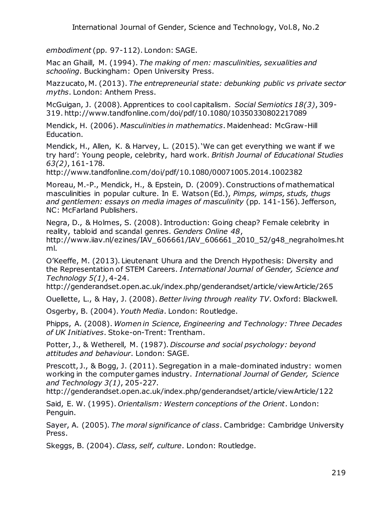*embodiment* (pp. 97-112). London: SAGE.

Mac an Ghaill, M. (1994). *The making of men: masculinities, sexualities and schooling*. Buckingham: Open University Press.

Mazzucato, M. (2013). *The entrepreneurial state: debunking public vs private sector myths*. London: Anthem Press.

McGuigan, J. (2008). Apprentices to cool capitalism. *Social Semiotics 18(3)*, 309- 319. http://www.tandfonline.com/doi/pdf/10.1080/10350330802217089

Mendick, H. (2006). *Masculinities in mathematics*. Maidenhead: McGraw-Hill Education.

Mendick, H., Allen, K. & Harvey, L. (2015). 'We can get everything we want if we try hard': Young people, celebrity, hard work. *British Journal of Educational Studies 63(2)*, 161-178.

http://www.tandfonline.com/doi/pdf/10.1080/00071005.2014.1002382

Moreau, M.-P., Mendick, H., & Epstein, D. (2009). Constructions of mathematical masculinities in popular culture. In E. Watson (Ed.), *Pimps, wimps, studs, thugs and gentlemen: essays on media images of masculinity* (pp. 141-156). Jefferson, NC: McFarland Publishers.

Negra, D., & Holmes, S. (2008). Introduction: Going cheap? Female celebrity in reality, tabloid and scandal genres. *Genders Online 48*, http://www.iiav.nl/ezines/IAV\_606661/IAV\_606661\_2010\_52/g48\_negraholmes.ht ml.

O'Keeffe, M. (2013). Lieutenant Uhura and the Drench Hypothesis: Diversity and the Representation of STEM Careers. *International Journal of Gender, Science and Technology 5(1)*, 4-24.

http://genderandset.open.ac.uk/index.php/genderandset/article/viewArticle/265

Ouellette, L., & Hay, J. (2008). *Better living through reality TV*. Oxford: Blackwell.

Osgerby, B. (2004). *Youth Media*. London: Routledge.

Phipps, A. (2008). *Women in Science, Engineering and Technology: Three Decades of UK Initiatives*. Stoke-on-Trent: Trentham.

Potter, J., & Wetherell, M. (1987). *Discourse and social psychology: beyond attitudes and behaviour*. London: SAGE.

Prescott, J., & Bogg, J. (2011). Segregation in a male-dominated industry: women working in the computer games industry. *International Journal of Gender, Science and Technology 3(1)*, 205-227.

http://genderandset.open.ac.uk/index.php/genderandset/article/viewArticle/122

Said, E. W. (1995). *Orientalism: Western conceptions of the Orient*. London: Penguin.

Sayer, A. (2005). *The moral significance of class*. Cambridge: Cambridge University Press.

Skeggs, B. (2004). *Class, self, culture*. London: Routledge.